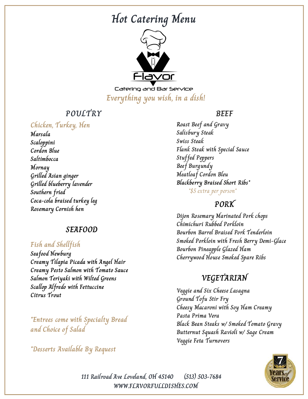# **Hot Catering Menu**



Catering and Bar Service **Everything you wish, in a dish!**

# **POULTRY**

## **Chicken, Turkey, Hen**

**Marsala Scaloppini Cordon Blue Saltimbocca Mornay Grilled Asian ginger Grilled blueberry lavender Southern fried Coca-cola braised turkey leg Rosemary Cornish hen**

## **SEAFOOD**

## **Fish and Shellfish**

**Seafood Newburg Creamy Tilapia Picada with Angel Hair Creamy Pesto Salmon with Tomato Sauce Salmon Teriyaki with Wilted Greens Scallop Alfredo with Fettuccine Citrus Trout**

**\*Entrees come with Specialty Bread and Choice of Salad**

**\*Desserts Available By Request**

### **BEEF**

**Roast Beef and Gravy Salisbury Steak Swiss Steak Flank Steak with Special Sauce Stuffed Peppers Beef Burgundy Meatloaf Cordon Bleu Blackberry Braised Short Ribs\*** \*\$5 extra per person\*

## **PORK**

**Dijon Rosemary Marinated Pork chops Chimichuri Rubbed Porkloin Bourbon Barrel Braised Pork Tenderloin Smoked Porkloin with Fresh Berry Demi-Glace Bourbon Pineapple Glazed Ham Cherrywood House Smoked Spare Ribs**

# **VEGETARIAN**

**Veggie and Six Cheese Lasagna Ground Tofu Stir Fry Cheesy Macaroni with Soy Ham Creamy Pasta Prima Vera Black Bean Steaks w/ Smoked Tomato Gravy Butternut Squash Ravioli w/ Sage Cream Veggie Feta Turnovers**



**WWW.FLAVORFULLDISHES.COM 111 Railroad Ave Loveland, OH 45140 (513) 503-7684**